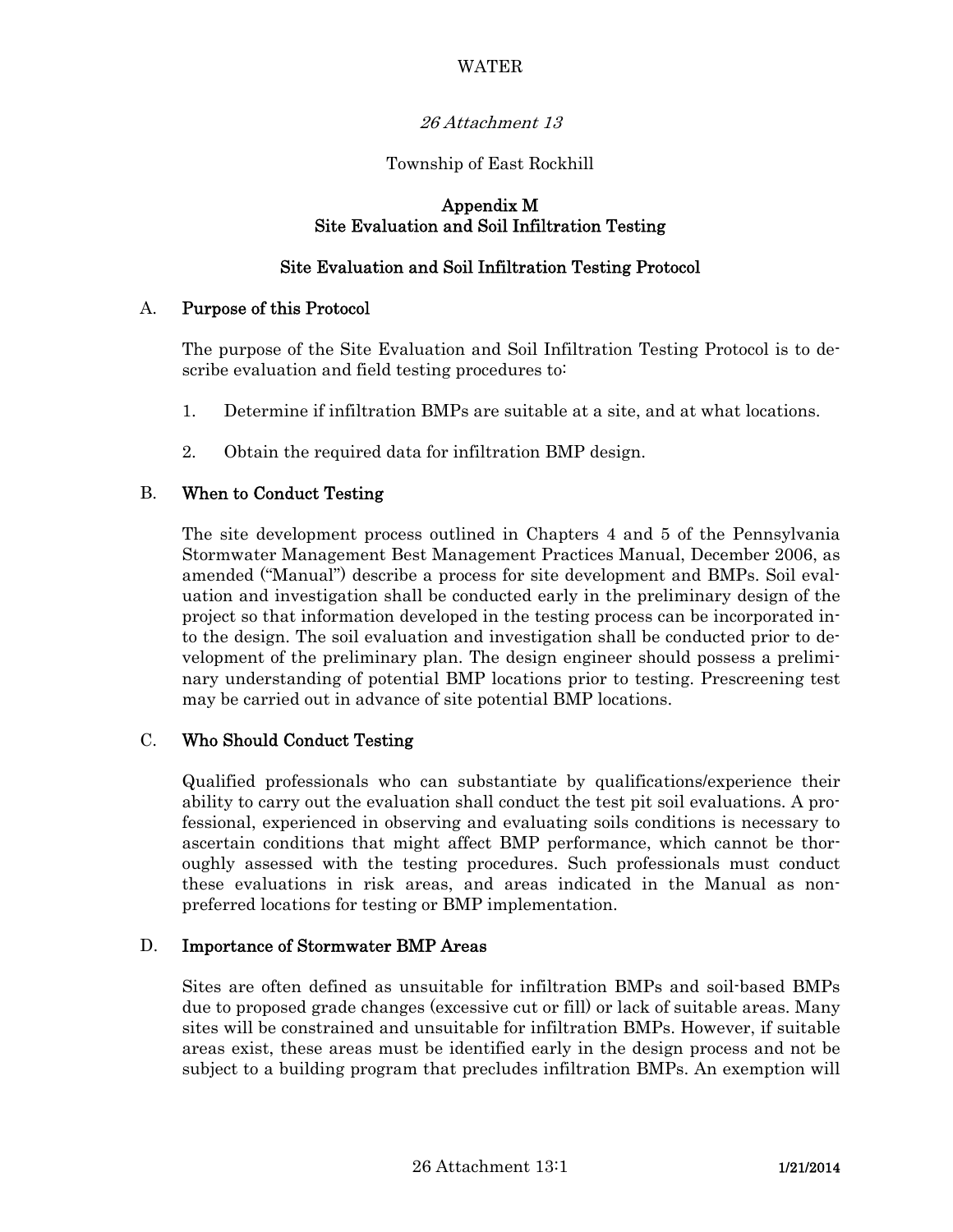## WATER

# 26 Attachment 13

## Township of East Rockhill

### Appendix M Site Evaluation and Soil Infiltration Testing

## Site Evaluation and Soil Infiltration Testing Protocol

### A. Purpose of this Protocol

 The purpose of the Site Evaluation and Soil Infiltration Testing Protocol is to describe evaluation and field testing procedures to:

- 1. Determine if infiltration BMPs are suitable at a site, and at what locations.
- 2. Obtain the required data for infiltration BMP design.

### B. When to Conduct Testing

 The site development process outlined in Chapters 4 and 5 of the Pennsylvania Stormwater Management Best Management Practices Manual, December 2006, as amended ("Manual") describe a process for site development and BMPs. Soil evaluation and investigation shall be conducted early in the preliminary design of the project so that information developed in the testing process can be incorporated into the design. The soil evaluation and investigation shall be conducted prior to development of the preliminary plan. The design engineer should possess a preliminary understanding of potential BMP locations prior to testing. Prescreening test may be carried out in advance of site potential BMP locations.

#### C. Who Should Conduct Testing

 Qualified professionals who can substantiate by qualifications/experience their ability to carry out the evaluation shall conduct the test pit soil evaluations. A professional, experienced in observing and evaluating soils conditions is necessary to ascertain conditions that might affect BMP performance, which cannot be thoroughly assessed with the testing procedures. Such professionals must conduct these evaluations in risk areas, and areas indicated in the Manual as nonpreferred locations for testing or BMP implementation.

#### D. Importance of Stormwater BMP Areas

 Sites are often defined as unsuitable for infiltration BMPs and soil-based BMPs due to proposed grade changes (excessive cut or fill) or lack of suitable areas. Many sites will be constrained and unsuitable for infiltration BMPs. However, if suitable areas exist, these areas must be identified early in the design process and not be subject to a building program that precludes infiltration BMPs. An exemption will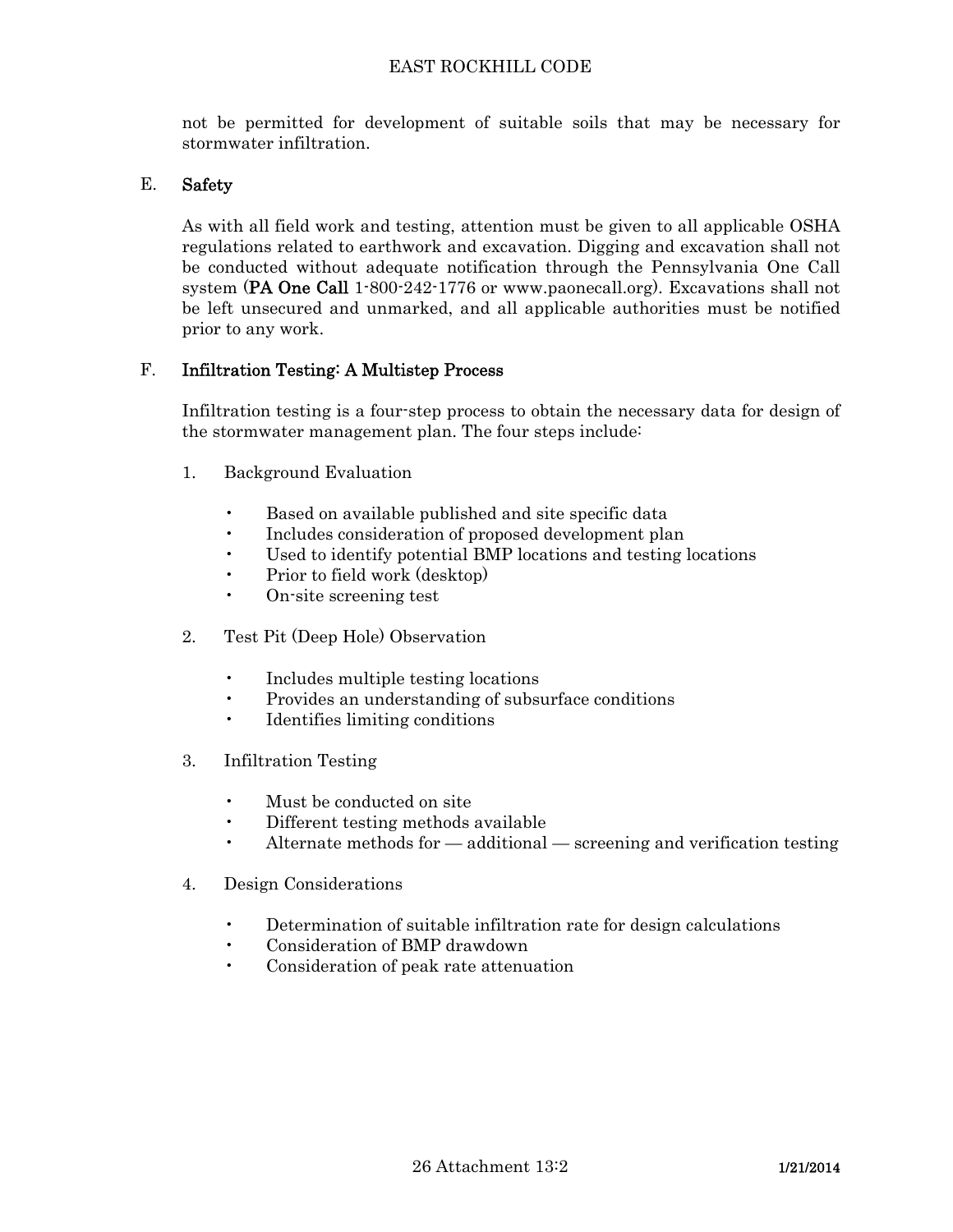not be permitted for development of suitable soils that may be necessary for stormwater infiltration.

# E. Safety

 As with all field work and testing, attention must be given to all applicable OSHA regulations related to earthwork and excavation. Digging and excavation shall not be conducted without adequate notification through the Pennsylvania One Call system (PA One Call 1-800-242-1776 or www.paonecall.org). Excavations shall not be left unsecured and unmarked, and all applicable authorities must be notified prior to any work.

# F. Infiltration Testing: A Multistep Process

 Infiltration testing is a four-step process to obtain the necessary data for design of the stormwater management plan. The four steps include:

- 1. Background Evaluation
	- Based on available published and site specific data
	- Includes consideration of proposed development plan
	- Used to identify potential BMP locations and testing locations
	- Prior to field work (desktop)
	- On-site screening test
- 2. Test Pit (Deep Hole) Observation
	- Includes multiple testing locations
	- Provides an understanding of subsurface conditions
	- Identifies limiting conditions
- 3. Infiltration Testing
	- Must be conducted on site
	- Different testing methods available
	- Alternate methods for  $-$  additional  $-$  screening and verification testing
- 4. Design Considerations
	- Determination of suitable infiltration rate for design calculations
	- Consideration of BMP drawdown
	- Consideration of peak rate attenuation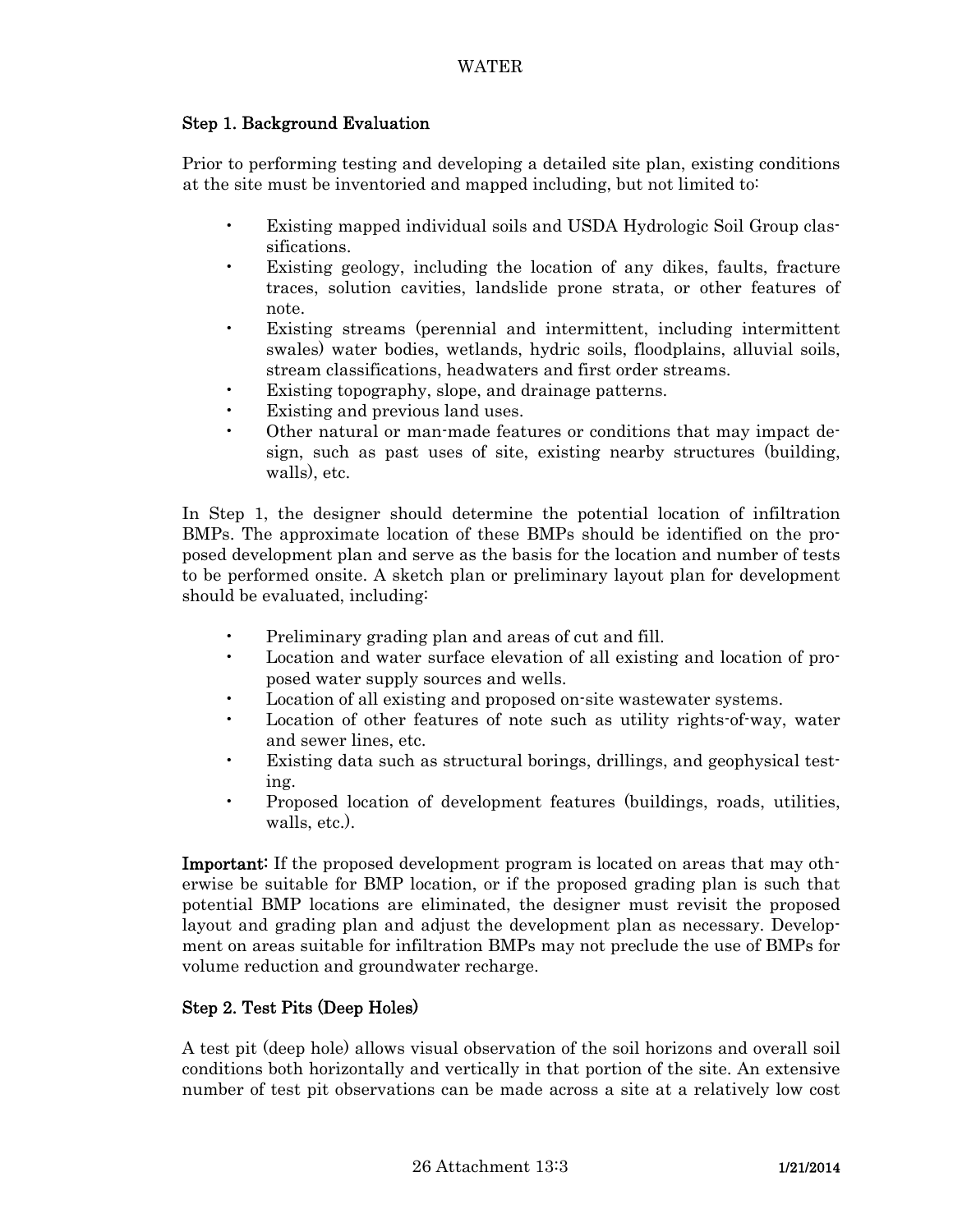## Step 1. Background Evaluation

 Prior to performing testing and developing a detailed site plan, existing conditions at the site must be inventoried and mapped including, but not limited to:

- Existing mapped individual soils and USDA Hydrologic Soil Group classifications.
- Existing geology, including the location of any dikes, faults, fracture traces, solution cavities, landslide prone strata, or other features of note.
- Existing streams (perennial and intermittent, including intermittent swales) water bodies, wetlands, hydric soils, floodplains, alluvial soils, stream classifications, headwaters and first order streams.
- Existing topography, slope, and drainage patterns.
- Existing and previous land uses.
- Other natural or man-made features or conditions that may impact design, such as past uses of site, existing nearby structures (building, walls), etc.

 In Step 1, the designer should determine the potential location of infiltration BMPs. The approximate location of these BMPs should be identified on the proposed development plan and serve as the basis for the location and number of tests to be performed onsite. A sketch plan or preliminary layout plan for development should be evaluated, including:

- Preliminary grading plan and areas of cut and fill.
- Location and water surface elevation of all existing and location of proposed water supply sources and wells.
- Location of all existing and proposed on-site wastewater systems.
- Location of other features of note such as utility rights-of-way, water and sewer lines, etc.
- Existing data such as structural borings, drillings, and geophysical testing.
- Proposed location of development features (buildings, roads, utilities, walls, etc.).

Important: If the proposed development program is located on areas that may otherwise be suitable for BMP location, or if the proposed grading plan is such that potential BMP locations are eliminated, the designer must revisit the proposed layout and grading plan and adjust the development plan as necessary. Development on areas suitable for infiltration BMPs may not preclude the use of BMPs for volume reduction and groundwater recharge.

## Step 2. Test Pits (Deep Holes)

 A test pit (deep hole) allows visual observation of the soil horizons and overall soil conditions both horizontally and vertically in that portion of the site. An extensive number of test pit observations can be made across a site at a relatively low cost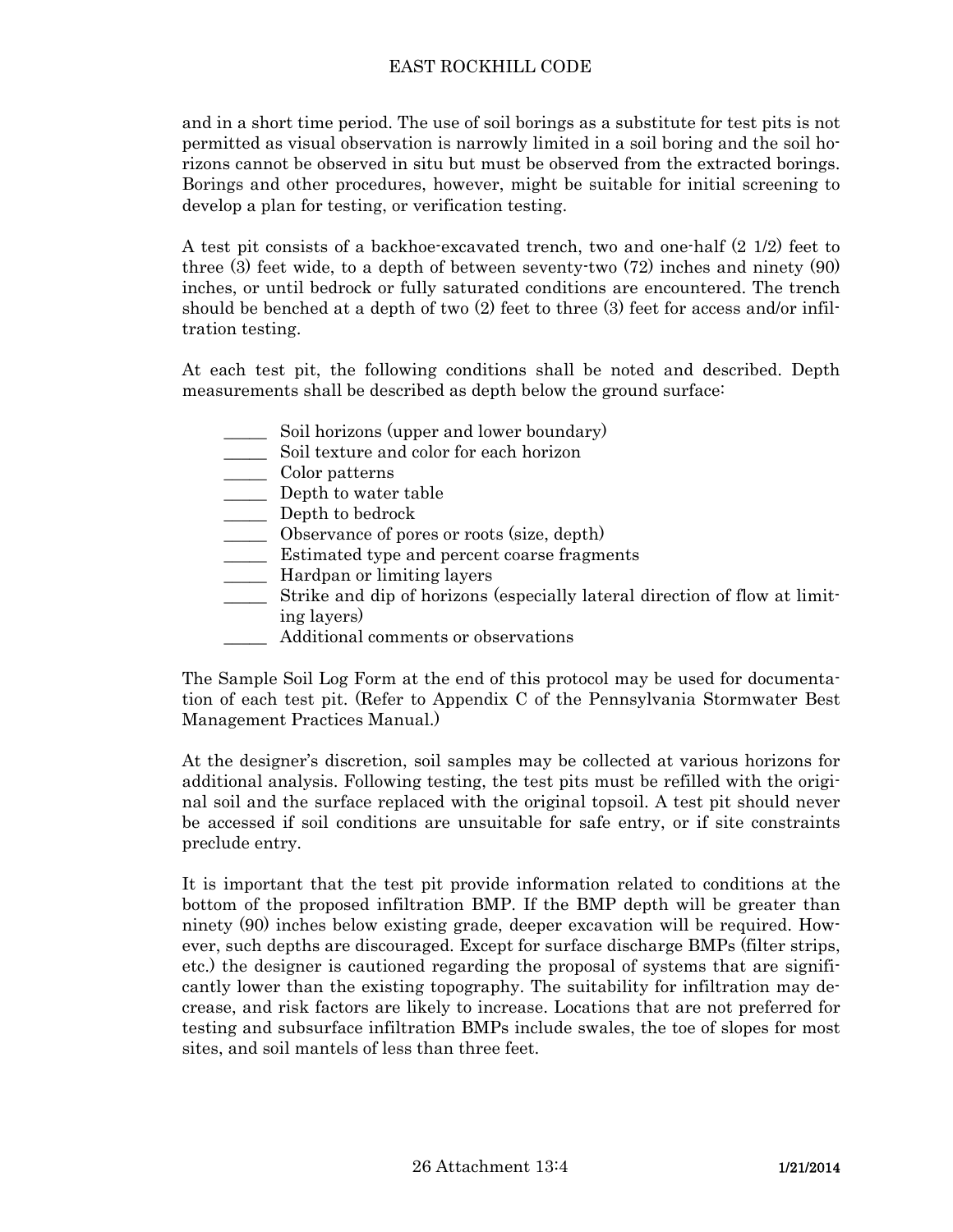and in a short time period. The use of soil borings as a substitute for test pits is not permitted as visual observation is narrowly limited in a soil boring and the soil horizons cannot be observed in situ but must be observed from the extracted borings. Borings and other procedures, however, might be suitable for initial screening to develop a plan for testing, or verification testing.

 A test pit consists of a backhoe-excavated trench, two and one-half (2 1/2) feet to three (3) feet wide, to a depth of between seventy-two (72) inches and ninety (90) inches, or until bedrock or fully saturated conditions are encountered. The trench should be benched at a depth of two (2) feet to three (3) feet for access and/or infiltration testing.

 At each test pit, the following conditions shall be noted and described. Depth measurements shall be described as depth below the ground surface:

- Soil horizons (upper and lower boundary)
- \_\_\_\_\_ Soil texture and color for each horizon
- \_\_\_\_\_ Color patterns
- \_\_\_\_\_ Depth to water table
- \_\_\_\_\_ Depth to bedrock
- \_\_\_\_\_ Observance of pores or roots (size, depth)
- \_\_\_\_\_ Estimated type and percent coarse fragments
- \_\_\_\_\_ Hardpan or limiting layers
- \_\_\_\_\_ Strike and dip of horizons (especially lateral direction of flow at limiting layers)
- Additional comments or observations

 The Sample Soil Log Form at the end of this protocol may be used for documentation of each test pit. (Refer to Appendix C of the Pennsylvania Stormwater Best Management Practices Manual.)

 At the designer's discretion, soil samples may be collected at various horizons for additional analysis. Following testing, the test pits must be refilled with the original soil and the surface replaced with the original topsoil. A test pit should never be accessed if soil conditions are unsuitable for safe entry, or if site constraints preclude entry.

 It is important that the test pit provide information related to conditions at the bottom of the proposed infiltration BMP. If the BMP depth will be greater than ninety (90) inches below existing grade, deeper excavation will be required. However, such depths are discouraged. Except for surface discharge BMPs (filter strips, etc.) the designer is cautioned regarding the proposal of systems that are significantly lower than the existing topography. The suitability for infiltration may decrease, and risk factors are likely to increase. Locations that are not preferred for testing and subsurface infiltration BMPs include swales, the toe of slopes for most sites, and soil mantels of less than three feet.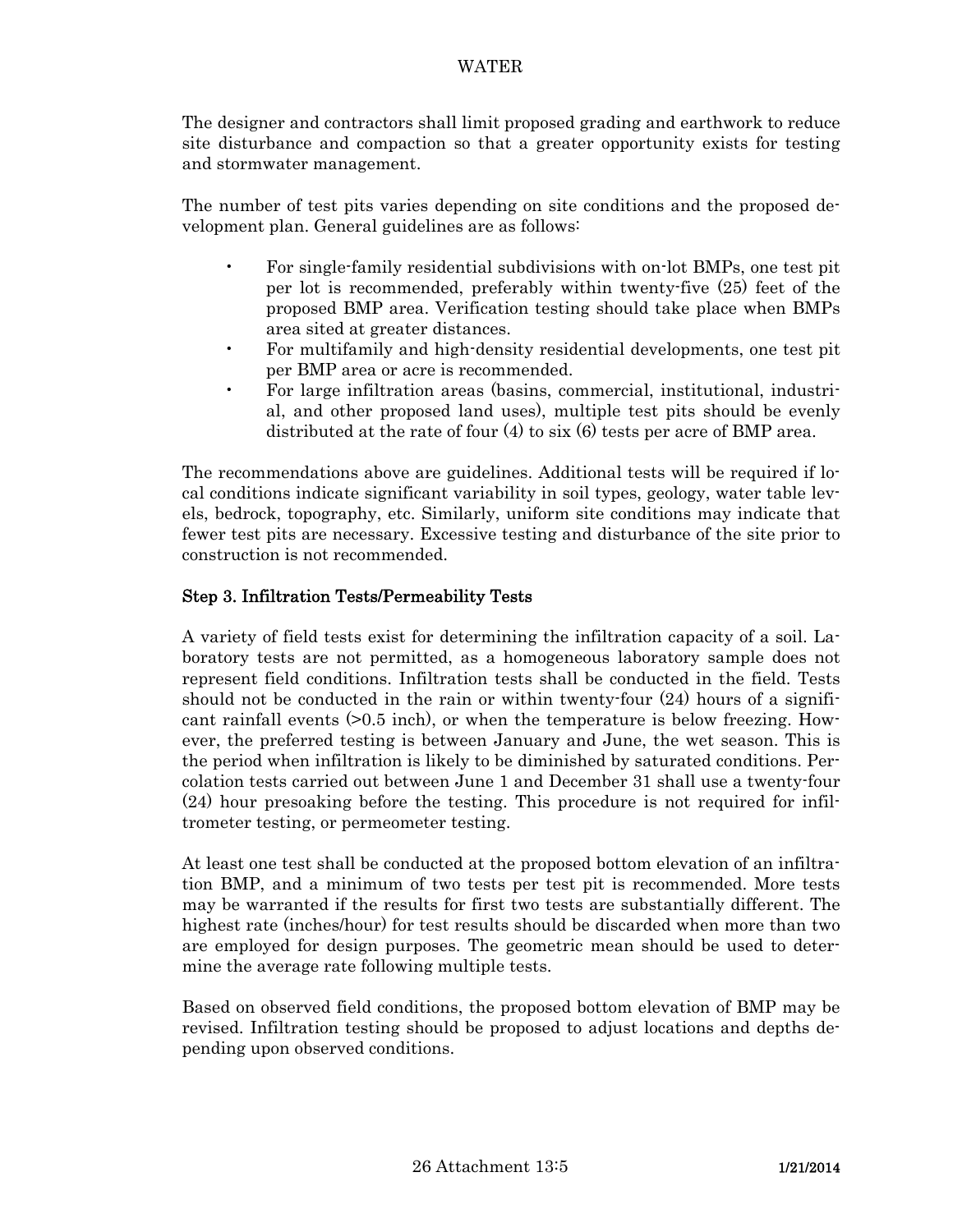The designer and contractors shall limit proposed grading and earthwork to reduce site disturbance and compaction so that a greater opportunity exists for testing and stormwater management.

 The number of test pits varies depending on site conditions and the proposed development plan. General guidelines are as follows:

- For single-family residential subdivisions with on-lot BMPs, one test pit per lot is recommended, preferably within twenty-five (25) feet of the proposed BMP area. Verification testing should take place when BMPs area sited at greater distances.
- For multifamily and high-density residential developments, one test pit per BMP area or acre is recommended.
- For large infiltration areas (basins, commercial, institutional, industrial, and other proposed land uses), multiple test pits should be evenly distributed at the rate of four (4) to six (6) tests per acre of BMP area.

 The recommendations above are guidelines. Additional tests will be required if local conditions indicate significant variability in soil types, geology, water table levels, bedrock, topography, etc. Similarly, uniform site conditions may indicate that fewer test pits are necessary. Excessive testing and disturbance of the site prior to construction is not recommended.

# Step 3. Infiltration Tests/Permeability Tests

 A variety of field tests exist for determining the infiltration capacity of a soil. Laboratory tests are not permitted, as a homogeneous laboratory sample does not represent field conditions. Infiltration tests shall be conducted in the field. Tests should not be conducted in the rain or within twenty-four (24) hours of a significant rainfall events (>0.5 inch), or when the temperature is below freezing. However, the preferred testing is between January and June, the wet season. This is the period when infiltration is likely to be diminished by saturated conditions. Percolation tests carried out between June 1 and December 31 shall use a twenty-four (24) hour presoaking before the testing. This procedure is not required for infiltrometer testing, or permeometer testing.

 At least one test shall be conducted at the proposed bottom elevation of an infiltration BMP, and a minimum of two tests per test pit is recommended. More tests may be warranted if the results for first two tests are substantially different. The highest rate (inches/hour) for test results should be discarded when more than two are employed for design purposes. The geometric mean should be used to determine the average rate following multiple tests.

 Based on observed field conditions, the proposed bottom elevation of BMP may be revised. Infiltration testing should be proposed to adjust locations and depths depending upon observed conditions.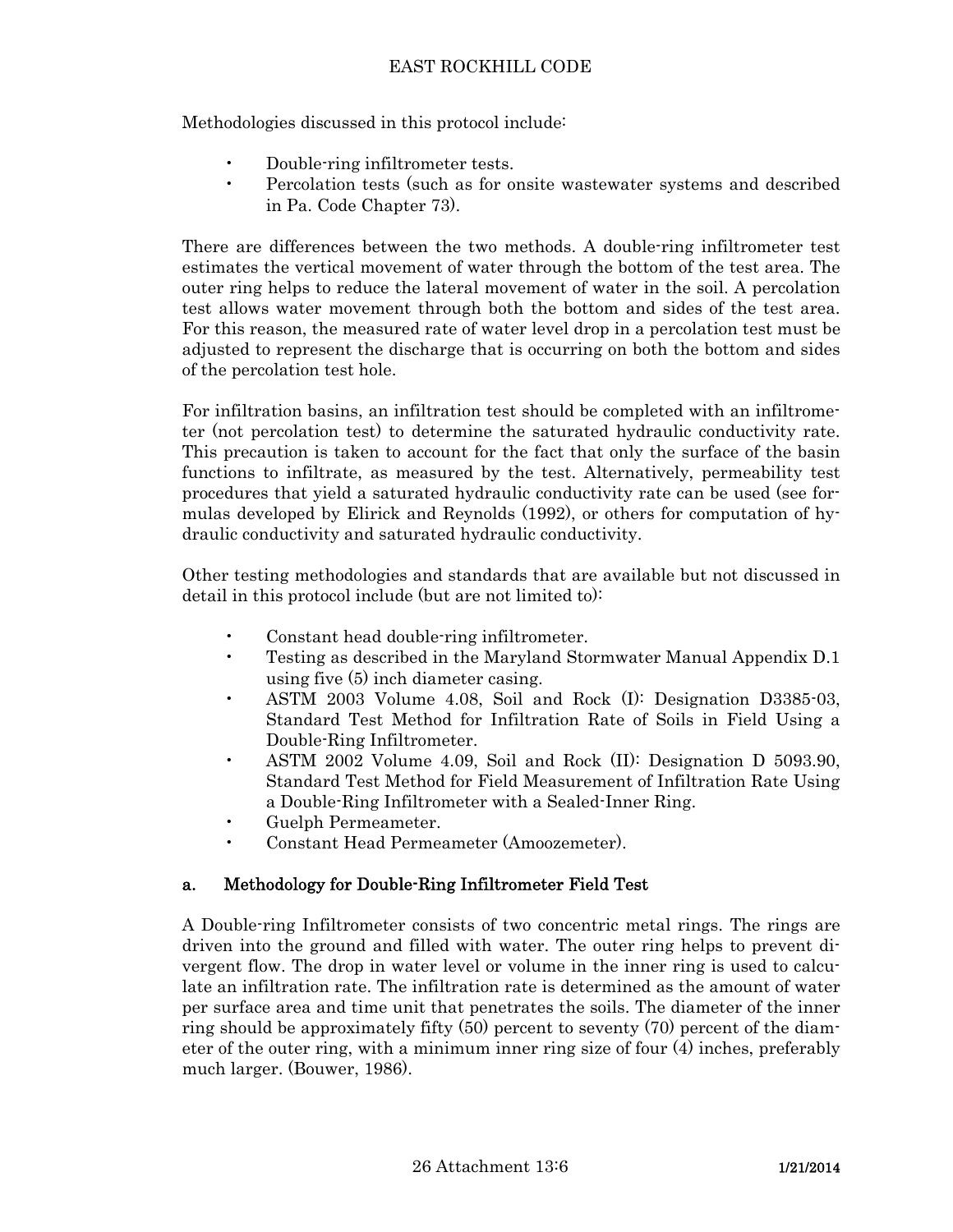Methodologies discussed in this protocol include:

- Double-ring infiltrometer tests.
- Percolation tests (such as for onsite wastewater systems and described in Pa. Code Chapter 73).

 There are differences between the two methods. A double-ring infiltrometer test estimates the vertical movement of water through the bottom of the test area. The outer ring helps to reduce the lateral movement of water in the soil. A percolation test allows water movement through both the bottom and sides of the test area. For this reason, the measured rate of water level drop in a percolation test must be adjusted to represent the discharge that is occurring on both the bottom and sides of the percolation test hole.

 For infiltration basins, an infiltration test should be completed with an infiltrometer (not percolation test) to determine the saturated hydraulic conductivity rate. This precaution is taken to account for the fact that only the surface of the basin functions to infiltrate, as measured by the test. Alternatively, permeability test procedures that yield a saturated hydraulic conductivity rate can be used (see formulas developed by Elirick and Reynolds (1992), or others for computation of hydraulic conductivity and saturated hydraulic conductivity.

 Other testing methodologies and standards that are available but not discussed in detail in this protocol include (but are not limited to):

- Constant head double-ring infiltrometer.
- Testing as described in the Maryland Stormwater Manual Appendix D.1 using five (5) inch diameter casing.
- ASTM 2003 Volume 4.08, Soil and Rock (I): Designation D3385-03, Standard Test Method for Infiltration Rate of Soils in Field Using a Double-Ring Infiltrometer.
- ASTM 2002 Volume 4.09, Soil and Rock (II): Designation D 5093.90, Standard Test Method for Field Measurement of Infiltration Rate Using a Double-Ring Infiltrometer with a Sealed-Inner Ring.
- Guelph Permeameter.
- Constant Head Permeameter (Amoozemeter).

# a. Methodology for Double-Ring Infiltrometer Field Test

 A Double-ring Infiltrometer consists of two concentric metal rings. The rings are driven into the ground and filled with water. The outer ring helps to prevent divergent flow. The drop in water level or volume in the inner ring is used to calculate an infiltration rate. The infiltration rate is determined as the amount of water per surface area and time unit that penetrates the soils. The diameter of the inner ring should be approximately fifty (50) percent to seventy (70) percent of the diameter of the outer ring, with a minimum inner ring size of four (4) inches, preferably much larger. (Bouwer, 1986).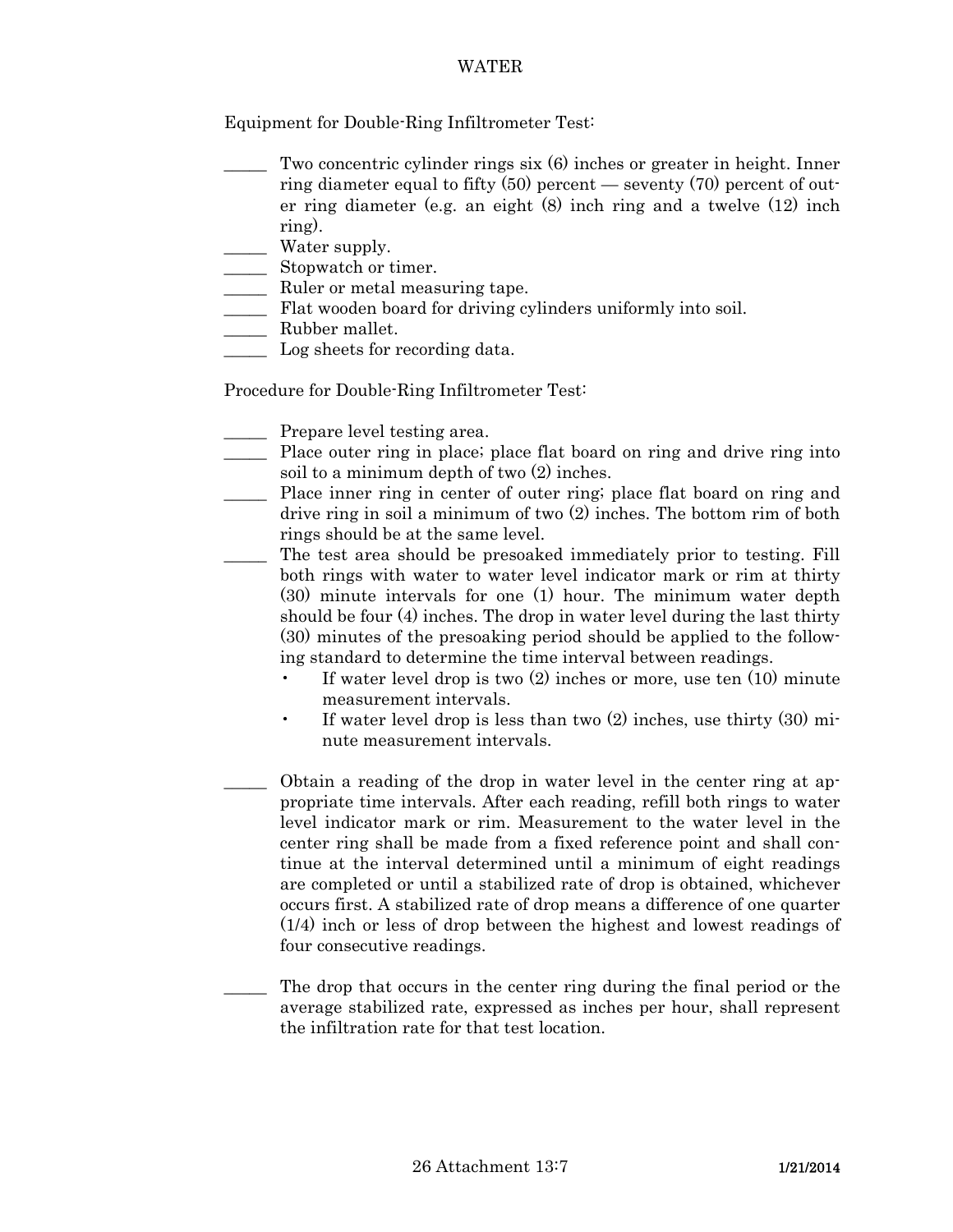### WATER

Equipment for Double-Ring Infiltrometer Test:

- \_\_\_\_\_ Two concentric cylinder rings six (6) inches or greater in height. Inner ring diameter equal to fifty  $(50)$  percent — seventy  $(70)$  percent of outer ring diameter (e.g. an eight (8) inch ring and a twelve (12) inch ring).
- \_\_\_\_\_ Water supply.
- \_\_\_\_\_ Stopwatch or timer.
- \_\_\_\_\_ Ruler or metal measuring tape.
- \_\_\_\_\_ Flat wooden board for driving cylinders uniformly into soil.
- \_\_\_\_\_ Rubber mallet.
- Log sheets for recording data.

Procedure for Double-Ring Infiltrometer Test:

- Prepare level testing area.
- \_\_\_\_\_ Place outer ring in place; place flat board on ring and drive ring into soil to a minimum depth of two (2) inches.
- \_\_\_\_\_ Place inner ring in center of outer ring; place flat board on ring and drive ring in soil a minimum of two (2) inches. The bottom rim of both rings should be at the same level.
	- The test area should be presoaked immediately prior to testing. Fill both rings with water to water level indicator mark or rim at thirty (30) minute intervals for one (1) hour. The minimum water depth should be four (4) inches. The drop in water level during the last thirty (30) minutes of the presoaking period should be applied to the following standard to determine the time interval between readings.
		- If water level drop is two  $(2)$  inches or more, use ten  $(10)$  minute measurement intervals.
		- If water level drop is less than two (2) inches, use thirty (30) minute measurement intervals.
		- Obtain a reading of the drop in water level in the center ring at appropriate time intervals. After each reading, refill both rings to water level indicator mark or rim. Measurement to the water level in the center ring shall be made from a fixed reference point and shall continue at the interval determined until a minimum of eight readings are completed or until a stabilized rate of drop is obtained, whichever occurs first. A stabilized rate of drop means a difference of one quarter (1/4) inch or less of drop between the highest and lowest readings of four consecutive readings.

The drop that occurs in the center ring during the final period or the average stabilized rate, expressed as inches per hour, shall represent the infiltration rate for that test location.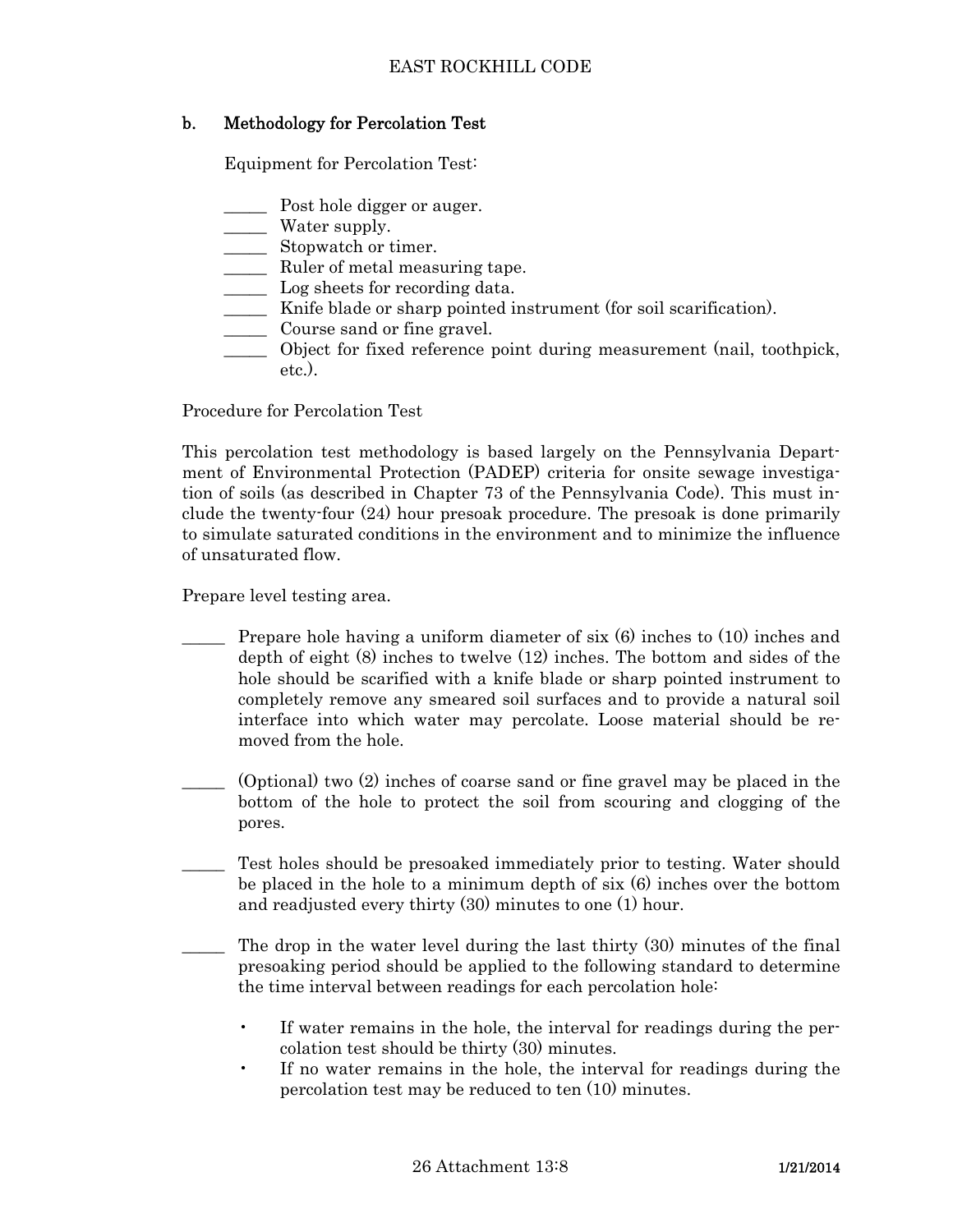# b. Methodology for Percolation Test

Equipment for Percolation Test:

- \_\_\_\_\_ Post hole digger or auger.
- \_\_\_\_\_ Water supply.
- \_\_\_\_\_ Stopwatch or timer.
- \_\_\_\_\_ Ruler of metal measuring tape.
- \_\_\_\_\_ Log sheets for recording data.
- \_\_\_\_\_ Knife blade or sharp pointed instrument (for soil scarification).
- \_\_\_\_\_ Course sand or fine gravel.
- \_\_\_\_\_ Object for fixed reference point during measurement (nail, toothpick, etc.).

Procedure for Percolation Test

 This percolation test methodology is based largely on the Pennsylvania Department of Environmental Protection (PADEP) criteria for onsite sewage investigation of soils (as described in Chapter 73 of the Pennsylvania Code). This must include the twenty-four (24) hour presoak procedure. The presoak is done primarily to simulate saturated conditions in the environment and to minimize the influence of unsaturated flow.

Prepare level testing area.

- Prepare hole having a uniform diameter of six  $(6)$  inches to  $(10)$  inches and depth of eight (8) inches to twelve (12) inches. The bottom and sides of the hole should be scarified with a knife blade or sharp pointed instrument to completely remove any smeared soil surfaces and to provide a natural soil interface into which water may percolate. Loose material should be removed from the hole.
- $(Optional)$  two  $(2)$  inches of coarse sand or fine gravel may be placed in the bottom of the hole to protect the soil from scouring and clogging of the pores.
- Test holes should be presoaked immediately prior to testing. Water should be placed in the hole to a minimum depth of six (6) inches over the bottom and readjusted every thirty (30) minutes to one (1) hour.
- The drop in the water level during the last thirty (30) minutes of the final presoaking period should be applied to the following standard to determine the time interval between readings for each percolation hole:
	- If water remains in the hole, the interval for readings during the percolation test should be thirty (30) minutes.
	- If no water remains in the hole, the interval for readings during the percolation test may be reduced to ten (10) minutes.